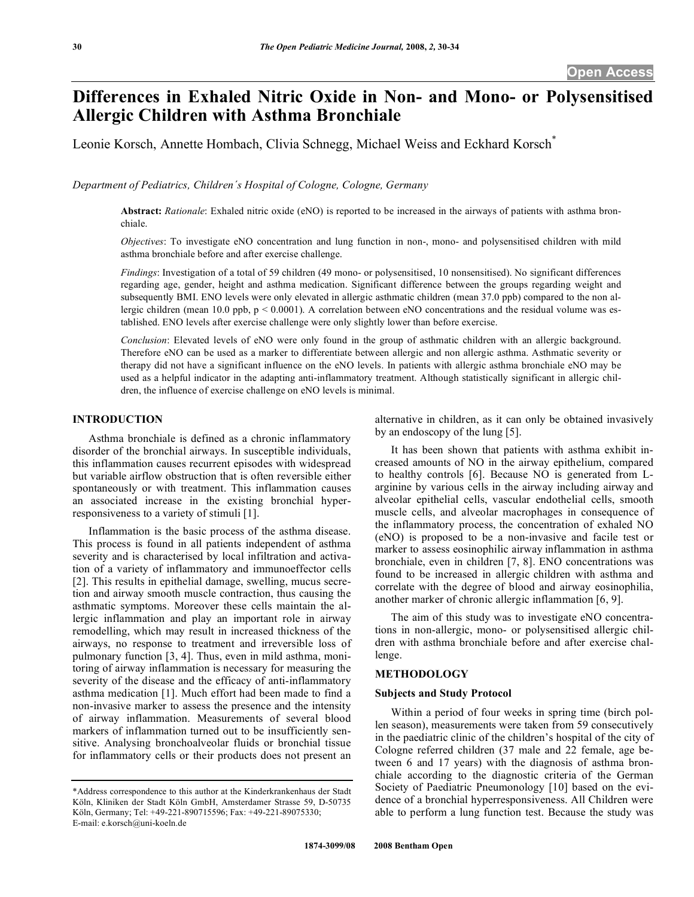# **Differences in Exhaled Nitric Oxide in Non- and Mono- or Polysensitised Allergic Children with Asthma Bronchiale**

Leonie Korsch, Annette Hombach, Clivia Schnegg, Michael Weiss and Eckhard Korsch\*

*Department of Pediatrics, Children´s Hospital of Cologne, Cologne, Germany* 

**Abstract:** *Rationale*: Exhaled nitric oxide (eNO) is reported to be increased in the airways of patients with asthma bronchiale.

*Objectives*: To investigate eNO concentration and lung function in non-, mono- and polysensitised children with mild asthma bronchiale before and after exercise challenge.

*Findings*: Investigation of a total of 59 children (49 mono- or polysensitised, 10 nonsensitised). No significant differences regarding age, gender, height and asthma medication. Significant difference between the groups regarding weight and subsequently BMI. ENO levels were only elevated in allergic asthmatic children (mean 37.0 ppb) compared to the non allergic children (mean 10.0 ppb,  $p < 0.0001$ ). A correlation between eNO concentrations and the residual volume was established. ENO levels after exercise challenge were only slightly lower than before exercise.

*Conclusion*: Elevated levels of eNO were only found in the group of asthmatic children with an allergic background. Therefore eNO can be used as a marker to differentiate between allergic and non allergic asthma. Asthmatic severity or therapy did not have a significant influence on the eNO levels. In patients with allergic asthma bronchiale eNO may be used as a helpful indicator in the adapting anti-inflammatory treatment. Although statistically significant in allergic children, the influence of exercise challenge on eNO levels is minimal.

# **INTRODUCTION**

 Asthma bronchiale is defined as a chronic inflammatory disorder of the bronchial airways. In susceptible individuals, this inflammation causes recurrent episodes with widespread but variable airflow obstruction that is often reversible either spontaneously or with treatment. This inflammation causes an associated increase in the existing bronchial hyperresponsiveness to a variety of stimuli [1].

 Inflammation is the basic process of the asthma disease. This process is found in all patients independent of asthma severity and is characterised by local infiltration and activation of a variety of inflammatory and immunoeffector cells [2]. This results in epithelial damage, swelling, mucus secretion and airway smooth muscle contraction, thus causing the asthmatic symptoms. Moreover these cells maintain the allergic inflammation and play an important role in airway remodelling, which may result in increased thickness of the airways, no response to treatment and irreversible loss of pulmonary function [3, 4]. Thus, even in mild asthma, monitoring of airway inflammation is necessary for measuring the severity of the disease and the efficacy of anti-inflammatory asthma medication [1]. Much effort had been made to find a non-invasive marker to assess the presence and the intensity of airway inflammation. Measurements of several blood markers of inflammation turned out to be insufficiently sensitive. Analysing bronchoalveolar fluids or bronchial tissue for inflammatory cells or their products does not present an

alternative in children, as it can only be obtained invasively by an endoscopy of the lung [5].

 It has been shown that patients with asthma exhibit increased amounts of NO in the airway epithelium, compared to healthy controls [6]. Because NO is generated from Larginine by various cells in the airway including airway and alveolar epithelial cells, vascular endothelial cells, smooth muscle cells, and alveolar macrophages in consequence of the inflammatory process, the concentration of exhaled NO (eNO) is proposed to be a non-invasive and facile test or marker to assess eosinophilic airway inflammation in asthma bronchiale, even in children [7, 8]. ENO concentrations was found to be increased in allergic children with asthma and correlate with the degree of blood and airway eosinophilia, another marker of chronic allergic inflammation [6, 9].

The aim of this study was to investigate eNO concentrations in non-allergic, mono- or polysensitised allergic children with asthma bronchiale before and after exercise challenge.

# **METHODOLOGY**

## **Subjects and Study Protocol**

 Within a period of four weeks in spring time (birch pollen season), measurements were taken from 59 consecutively in the paediatric clinic of the children's hospital of the city of Cologne referred children (37 male and 22 female, age between 6 and 17 years) with the diagnosis of asthma bronchiale according to the diagnostic criteria of the German Society of Paediatric Pneumonology [10] based on the evidence of a bronchial hyperresponsiveness. All Children were able to perform a lung function test. Because the study was

<sup>\*</sup>Address correspondence to this author at the Kinderkrankenhaus der Stadt Köln, Kliniken der Stadt Köln GmbH, Amsterdamer Strasse 59, D-50735 Köln, Germany; Tel: +49-221-890715596; Fax: +49-221-89075330; E-mail: e.korsch@uni-koeln.de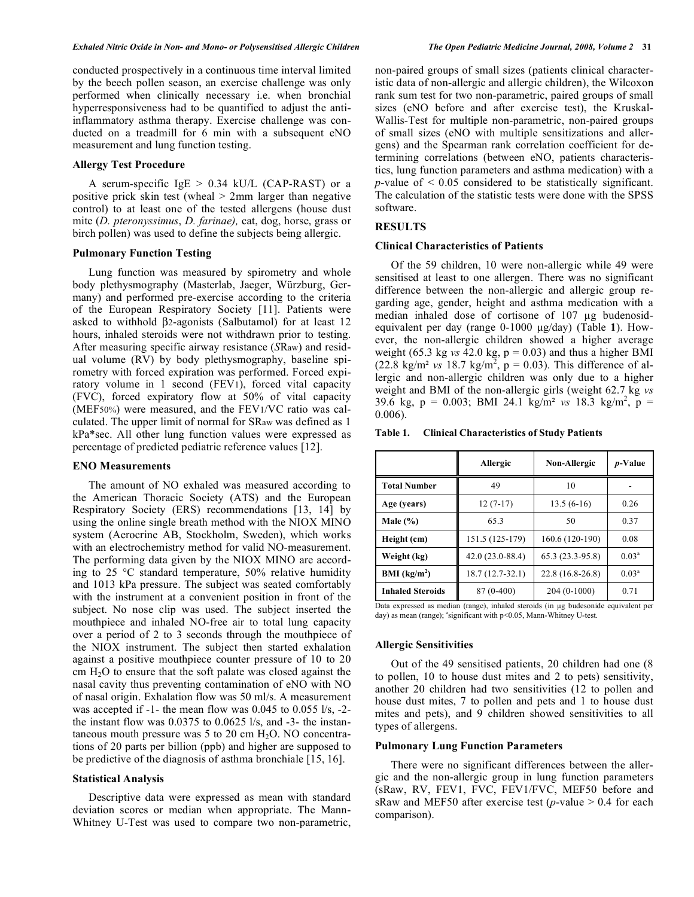conducted prospectively in a continuous time interval limited by the beech pollen season, an exercise challenge was only performed when clinically necessary i.e. when bronchial hyperresponsiveness had to be quantified to adjust the antiinflammatory asthma therapy. Exercise challenge was conducted on a treadmill for 6 min with a subsequent eNO measurement and lung function testing.

# **Allergy Test Procedure**

A serum-specific  $IgE > 0.34$  kU/L (CAP-RAST) or a positive prick skin test (wheal > 2mm larger than negative control) to at least one of the tested allergens (house dust mite (*D. pteronyssimus*, *D. farinae),* cat, dog, horse, grass or birch pollen) was used to define the subjects being allergic.

#### **Pulmonary Function Testing**

 Lung function was measured by spirometry and whole body plethysmography (Masterlab, Jaeger, Würzburg, Germany) and performed pre-exercise according to the criteria of the European Respiratory Society [11]. Patients were asked to withhold  $\beta$ 2-agonists (Salbutamol) for at least 12 hours, inhaled steroids were not withdrawn prior to testing. After measuring specific airway resistance (*S*Raw) and residual volume (RV) by body plethysmography, baseline spirometry with forced expiration was performed. Forced expiratory volume in 1 second (FEV1), forced vital capacity (FVC), forced expiratory flow at 50% of vital capacity (MEF50%) were measured, and the FEV1/VC ratio was calculated. The upper limit of normal for SRaw was defined as 1 kPa\*sec. All other lung function values were expressed as percentage of predicted pediatric reference values [12].

## **ENO Measurements**

 The amount of NO exhaled was measured according to the American Thoracic Society (ATS) and the European Respiratory Society (ERS) recommendations [13, 14] by using the online single breath method with the NIOX MINO system (Aerocrine AB, Stockholm, Sweden), which works with an electrochemistry method for valid NO-measurement. The performing data given by the NIOX MINO are according to 25 °C standard temperature, 50% relative humidity and 1013 kPa pressure. The subject was seated comfortably with the instrument at a convenient position in front of the subject. No nose clip was used. The subject inserted the mouthpiece and inhaled NO-free air to total lung capacity over a period of 2 to 3 seconds through the mouthpiece of the NIOX instrument. The subject then started exhalation against a positive mouthpiece counter pressure of 10 to 20  $cm H<sub>2</sub>O$  to ensure that the soft palate was closed against the nasal cavity thus preventing contamination of eNO with NO of nasal origin. Exhalation flow was 50 ml/s. A measurement was accepted if -1- the mean flow was 0.045 to 0.055 l/s, -2 the instant flow was 0.0375 to 0.0625 l/s, and -3- the instantaneous mouth pressure was  $5$  to  $20 \text{ cm H}_2\text{O}$ . NO concentrations of 20 parts per billion (ppb) and higher are supposed to be predictive of the diagnosis of asthma bronchiale [15, 16].

### **Statistical Analysis**

 Descriptive data were expressed as mean with standard deviation scores or median when appropriate. The Mann-Whitney U-Test was used to compare two non-parametric, non-paired groups of small sizes (patients clinical characteristic data of non-allergic and allergic children), the Wilcoxon rank sum test for two non-parametric, paired groups of small sizes (eNO before and after exercise test), the Kruskal-Wallis-Test for multiple non-parametric, non-paired groups of small sizes (eNO with multiple sensitizations and allergens) and the Spearman rank correlation coefficient for determining correlations (between eNO, patients characteristics, lung function parameters and asthma medication) with a *p*-value of  $\leq 0.05$  considered to be statistically significant. The calculation of the statistic tests were done with the SPSS software.

# **RESULTS**

## **Clinical Characteristics of Patients**

 Of the 59 children, 10 were non-allergic while 49 were sensitised at least to one allergen. There was no significant difference between the non-allergic and allergic group regarding age, gender, height and asthma medication with a median inhaled dose of cortisone of  $107 \mu g$  budenosidequivalent per day (range 0-1000 µg/day) (Table 1). However, the non-allergic children showed a higher average weight (65.3 kg  $vs$  42.0 kg,  $p = 0.03$ ) and thus a higher BMI  $(22.8 \text{ kg/m}^2 \text{ vs } 18.7 \text{ kg/m}^2, p = 0.03)$ . This difference of allergic and non-allergic children was only due to a higher weight and BMI of the non-allergic girls (weight 62.7 kg *vs* 39.6 kg,  $p = 0.003$ ; BMI 24.1 kg/m<sup>2</sup> vs 18.3 kg/m<sup>2</sup>,  $p =$ 0.006).

**Table 1. Clinical Characteristics of Study Patients** 

|                          | Allergic          | Non-Allergic      | <i>p</i> -Value   |
|--------------------------|-------------------|-------------------|-------------------|
| <b>Total Number</b>      | 49                | 10                |                   |
| Age (years)              | $12(7-17)$        | $13.5(6-16)$      | 0.26              |
| Male $(\% )$             | 65.3              | 50                | 0.37              |
| Height (cm)              | 151.5 (125-179)   | 160.6 (120-190)   | 0.08              |
| Weight (kg)              | $42.0(23.0-88.4)$ | $65.3(23.3-95.8)$ | 0.03 <sup>a</sup> |
| BMI (kg/m <sup>2</sup> ) | $18.7(12.7-32.1)$ | 22.8 (16.8-26.8)  | $0.03^{\rm a}$    |
| <b>Inhaled Steroids</b>  | 87 (0-400)        | $204(0-1000)$     | 0.71              |

Data expressed as median (range), inhaled steroids (in µg budesonide equivalent per day) as mean (range);  $a$ <sup>3</sup> significant with  $p$ <0.05, Mann-Whitney U-test.

#### **Allergic Sensitivities**

 Out of the 49 sensitised patients, 20 children had one (8 to pollen, 10 to house dust mites and 2 to pets) sensitivity, another 20 children had two sensitivities (12 to pollen and house dust mites, 7 to pollen and pets and 1 to house dust mites and pets), and 9 children showed sensitivities to all types of allergens.

## **Pulmonary Lung Function Parameters**

 There were no significant differences between the allergic and the non-allergic group in lung function parameters (sRaw, RV, FEV1, FVC, FEV1/FVC, MEF50 before and sRaw and MEF50 after exercise test ( $p$ -value  $> 0.4$  for each comparison).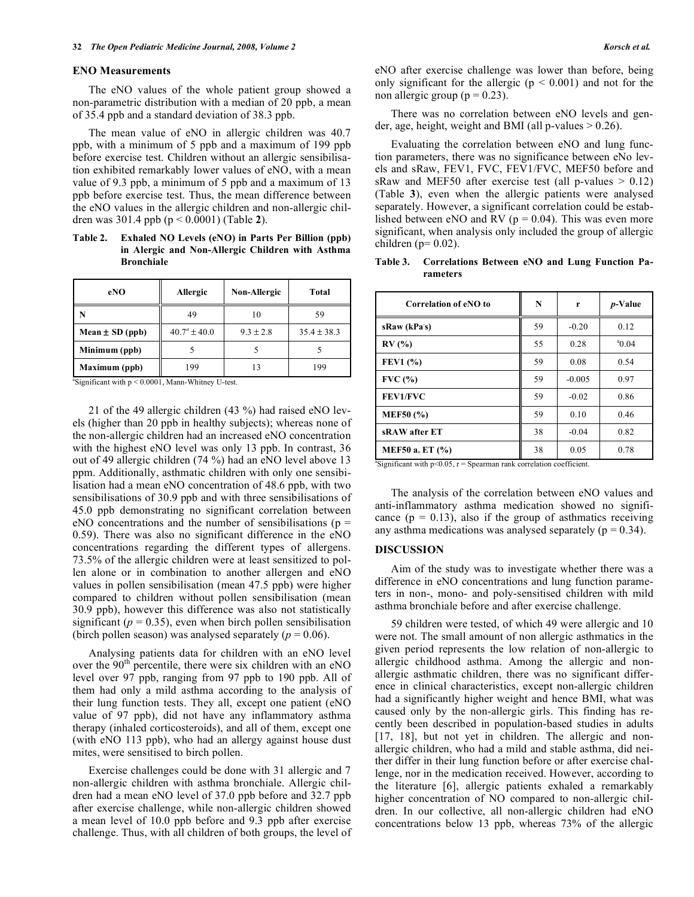#### **ENO Measurements**

 The eNO values of the whole patient group showed a non-parametric distribution with a median of 20 ppb, a mean of 35.4 ppb and a standard deviation of 38.3 ppb.

The mean value of eNO in allergic children was 40.7 ppb, with a minimum of 5 ppb and a maximum of 199 ppb before exercise test. Children without an allergic sensibilisation exhibited remarkably lower values of eNO, with a mean value of 9.3 ppb, a minimum of 5 ppb and a maximum of 13 ppb before exercise test. Thus, the mean difference between the eNO values in the allergic children and non-allergic children was 301.4 ppb (p < 0.0001) (Table **2**).

**Table 2. Exhaled NO Levels (eNO) in Parts Per Billion (ppb) in Alergic and Non-Allergic Children with Asthma Bronchiale** 

| eNO                 | Allergic          | <b>Non-Allergic</b> | Total           |
|---------------------|-------------------|---------------------|-----------------|
|                     | 49                | 10                  | 59              |
| Mean $\pm$ SD (ppb) | $40.7^a \pm 40.0$ | $9.3 \pm 2.8$       | $35.4 \pm 38.3$ |
| Minimum (ppb)       |                   |                     |                 |
| Maximum (ppb)       | 199               | 13                  | 199             |

 $a$ Significant with  $p < 0.0001$ , Mann-Whitney U-test.

 21 of the 49 allergic children (43 %) had raised eNO levels (higher than 20 ppb in healthy subjects); whereas none of the non-allergic children had an increased eNO concentration with the highest eNO level was only 13 ppb. In contrast, 36 out of 49 allergic children (74 %) had an eNO level above 13 ppm. Additionally, asthmatic children with only one sensibilisation had a mean eNO concentration of 48.6 ppb, with two sensibilisations of 30.9 ppb and with three sensibilisations of 45.0 ppb demonstrating no significant correlation between eNO concentrations and the number of sensibilisations ( $p =$ 0.59). There was also no significant difference in the eNO concentrations regarding the different types of allergens. 73.5% of the allergic children were at least sensitized to pollen alone or in combination to another allergen and eNO values in pollen sensibilisation (mean 47.5 ppb) were higher compared to children without pollen sensibilisation (mean 30.9 ppb), however this difference was also not statistically significant ( $p = 0.35$ ), even when birch pollen sensibilisation (birch pollen season) was analysed separately  $(p = 0.06)$ .

 Analysing patients data for children with an eNO level over the  $90<sup>th</sup>$  percentile, there were six children with an eNO level over 97 ppb, ranging from 97 ppb to 190 ppb. All of them had only a mild asthma according to the analysis of their lung function tests. They all, except one patient (eNO value of 97 ppb), did not have any inflammatory asthma therapy (inhaled corticosteroids), and all of them, except one (with eNO 113 ppb), who had an allergy against house dust mites, were sensitised to birch pollen.

 Exercise challenges could be done with 31 allergic and 7 non-allergic children with asthma bronchiale. Allergic children had a mean eNO level of 37.0 ppb before and 32.7 ppb after exercise challenge, while non-allergic children showed a mean level of 10.0 ppb before and 9.3 ppb after exercise challenge. Thus, with all children of both groups, the level of eNO after exercise challenge was lower than before, being only significant for the allergic ( $p \le 0.001$ ) and not for the non allergic group ( $p = 0.23$ ).

There was no correlation between eNO levels and gender, age, height, weight and BMI (all p-values  $> 0.26$ ).

 Evaluating the correlation between eNO and lung function parameters, there was no significance between eNo levels and sRaw, FEV1, FVC, FEV1/FVC, MEF50 before and sRaw and MEF50 after exercise test (all p-values  $> 0.12$ ) (Table **3**), even when the allergic patients were analysed separately. However, a significant correlation could be established between eNO and RV ( $p = 0.04$ ). This was even more significant, when analysis only included the group of allergic children ( $p= 0.02$ ).

#### **Table 3. Correlations Between eNO and Lung Function Parameters**

| Correlation of eNO to | N  | r        | <i>p</i> -Value |
|-----------------------|----|----------|-----------------|
| sRaw (kPa's)          | 59 | $-0.20$  | 0.12            |
| RV(%)                 | 55 | 0.28     | $^{a}$ 0.04     |
| <b>FEV1</b> (%)       | 59 | 0.08     | 0.54            |
| FVC(%)                | 59 | $-0.005$ | 0.97            |
| FEV1/FVC              | 59 | $-0.02$  | 0.86            |
| <b>MEF50</b> (%)      | 59 | 0.10     | 0.46            |
| sRAW after ET         | 38 | $-0.04$  | 0.82            |
| MEF50 a. ET (%)       | 38 | 0.05     | 0.78            |

<sup>a</sup>Significant with  $p < 0.05$ ,  $r =$  Spearman rank correlation coefficient.

 The analysis of the correlation between eNO values and anti-inflammatory asthma medication showed no significance ( $p = 0.13$ ), also if the group of asthmatics receiving any asthma medications was analysed separately ( $p = 0.34$ ).

#### **DISCUSSION**

 Aim of the study was to investigate whether there was a difference in eNO concentrations and lung function parameters in non-, mono- and poly-sensitised children with mild asthma bronchiale before and after exercise challenge.

 59 children were tested, of which 49 were allergic and 10 were not. The small amount of non allergic asthmatics in the given period represents the low relation of non-allergic to allergic childhood asthma. Among the allergic and nonallergic asthmatic children, there was no significant difference in clinical characteristics, except non-allergic children had a significantly higher weight and hence BMI, what was caused only by the non-allergic girls. This finding has recently been described in population-based studies in adults [17, 18], but not yet in children. The allergic and nonallergic children, who had a mild and stable asthma, did neither differ in their lung function before or after exercise challenge, nor in the medication received. However, according to the literature [6], allergic patients exhaled a remarkably higher concentration of NO compared to non-allergic children. In our collective, all non-allergic children had eNO concentrations below 13 ppb, whereas 73% of the allergic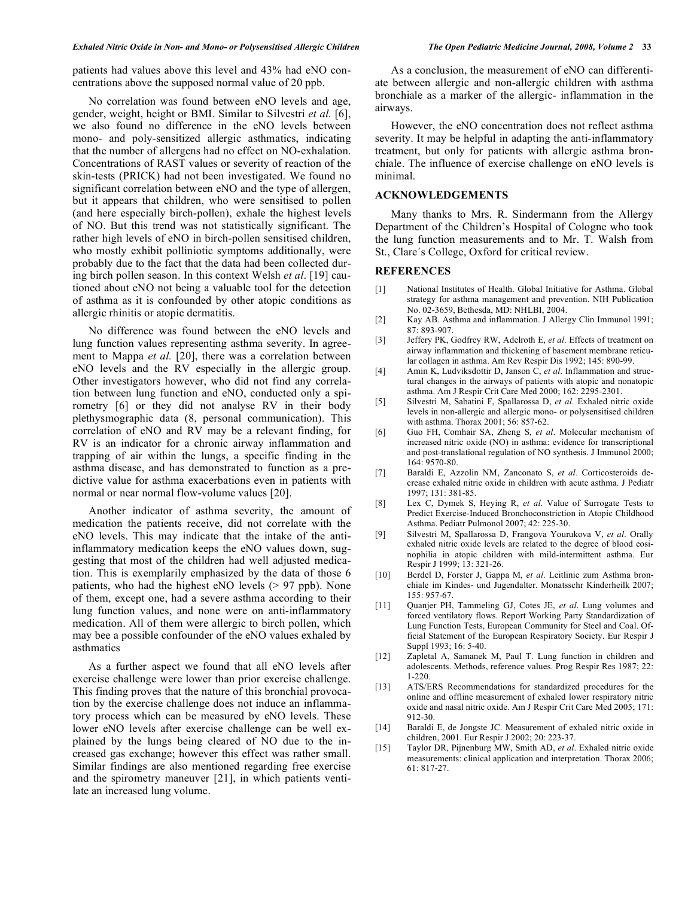patients had values above this level and 43% had eNO concentrations above the supposed normal value of 20 ppb.

 No correlation was found between eNO levels and age, gender, weight, height or BMI. Similar to Silvestri *et al.* [6], we also found no difference in the eNO levels between mono- and poly-sensitized allergic asthmatics, indicating that the number of allergens had no effect on NO-exhalation. Concentrations of RAST values or severity of reaction of the skin-tests (PRICK) had not been investigated. We found no significant correlation between eNO and the type of allergen, but it appears that children, who were sensitised to pollen (and here especially birch-pollen), exhale the highest levels of NO. But this trend was not statistically significant. The rather high levels of eNO in birch-pollen sensitised children, who mostly exhibit polliniotic symptoms additionally, were probably due to the fact that the data had been collected during birch pollen season. In this context Welsh *et al*. [19] cautioned about eNO not being a valuable tool for the detection of asthma as it is confounded by other atopic conditions as allergic rhinitis or atopic dermatitis.

 No difference was found between the eNO levels and lung function values representing asthma severity. In agreement to Mappa *et al.* [20], there was a correlation between eNO levels and the RV especially in the allergic group. Other investigators however, who did not find any correlation between lung function and eNO, conducted only a spirometry [6] or they did not analyse RV in their body plethysmographic data (8, personal communication). This correlation of eNO and RV may be a relevant finding, for RV is an indicator for a chronic airway inflammation and trapping of air within the lungs, a specific finding in the asthma disease, and has demonstrated to function as a predictive value for asthma exacerbations even in patients with normal or near normal flow-volume values [20].

 Another indicator of asthma severity, the amount of medication the patients receive, did not correlate with the eNO levels. This may indicate that the intake of the antiinflammatory medication keeps the eNO values down, suggesting that most of the children had well adjusted medication. This is exemplarily emphasized by the data of those 6 patients, who had the highest eNO levels (> 97 ppb). None of them, except one, had a severe asthma according to their lung function values, and none were on anti-inflammatory medication. All of them were allergic to birch pollen, which may bee a possible confounder of the eNO values exhaled by asthmatics

 As a further aspect we found that all eNO levels after exercise challenge were lower than prior exercise challenge. This finding proves that the nature of this bronchial provocation by the exercise challenge does not induce an inflammatory process which can be measured by eNO levels. These lower eNO levels after exercise challenge can be well explained by the lungs being cleared of NO due to the increased gas exchange; however this effect was rather small. Similar findings are also mentioned regarding free exercise and the spirometry maneuver [21], in which patients ventilate an increased lung volume.

As a conclusion, the measurement of eNO can differentiate between allergic and non-allergic children with asthma bronchiale as a marker of the allergic- inflammation in the airways.

 However, the eNO concentration does not reflect asthma severity. It may be helpful in adapting the anti-inflammatory treatment, but only for patients with allergic asthma bronchiale. The influence of exercise challenge on eNO levels is minimal.

## **ACKNOWLEDGEMENTS**

 Many thanks to Mrs. R. Sindermann from the Allergy Department of the Children's Hospital of Cologne who took the lung function measurements and to Mr. T. Walsh from St., Clare´s College, Oxford for critical review.

#### **REFERENCES**

- [1] National Institutes of Health. Global Initiative for Asthma. Global strategy for asthma management and prevention. NIH Publication No. 02-3659, Bethesda, MD: NHLBI, 2004.
- [2] Kay AB. Asthma and inflammation. J Allergy Clin Immunol 1991; 87: 893-907.
- [3] Jeffery PK, Godfrey RW, Adelroth E, *et al*. Effects of treatment on airway inflammation and thickening of basement membrane reticular collagen in asthma. Am Rev Respir Dis 1992; 145: 890-99.
- [4] Amin K, Ludviksdottir D, Janson C, *et al*. Inflammation and structural changes in the airways of patients with atopic and nonatopic asthma. Am J Respir Crit Care Med 2000; 162: 2295-2301.
- [5] Silvestri M, Sabatini F, Spallarossa D, *et al*. Exhaled nitric oxide levels in non-allergic and allergic mono- or polysensitised children with asthma. Thorax 2001; 56: 857-62.
- [6] Guo FH, Comhair SA, Zheng S, *et al*. Molecular mechanism of increased nitric oxide (NO) in asthma: evidence for transcriptional and post-translational regulation of NO synthesis. J Immunol 2000; 164: 9570-80.
- [7] Baraldi E, Azzolin NM, Zanconato S, *et al*. Corticosteroids decrease exhaled nitric oxide in children with acute asthma. J Pediatr 1997; 131: 381-85.
- [8] Lex C, Dymek S, Heying R, *et al*. Value of Surrogate Tests to Predict Exercise-Induced Bronchoconstriction in Atopic Childhood Asthma. Pediatr Pulmonol 2007; 42: 225-30.
- [9] Silvestri M, Spallarossa D, Frangova Yourukova V, *et al*. Orally exhaled nitric oxide levels are related to the degree of blood eosinophilia in atopic children with mild-intermittent asthma. Eur Respir J 1999; 13: 321-26.
- [10] Berdel D, Forster J, Gappa M, *et al*. Leitlinie zum Asthma bronchiale im Kindes- und Jugendalter. Monatsschr Kinderheilk 2007; 155: 957-67.
- [11] Quanjer PH, Tammeling GJ, Cotes JE, *et al*. Lung volumes and forced ventilatory flows. Report Working Party Standardization of Lung Function Tests, European Community for Steel and Coal. Official Statement of the European Respiratory Society. Eur Respir J Suppl 1993; 16: 5-40.
- [12] Zapletal A, Samanek M, Paul T. Lung function in children and adolescents. Methods, reference values. Prog Respir Res 1987; 22: 1-220.
- [13] ATS/ERS Recommendations for standardized procedures for the online and offline measurement of exhaled lower respiratory nitric oxide and nasal nitric oxide. Am J Respir Crit Care Med 2005; 171: 912-30.
- [14] Baraldi E, de Jongste JC. Measurement of exhaled nitric oxide in children, 2001. Eur Respir J 2002; 20: 223-37.
- [15] Taylor DR, Pijnenburg MW, Smith AD, *et al*. Exhaled nitric oxide measurements: clinical application and interpretation. Thorax 2006; 61: 817-27.